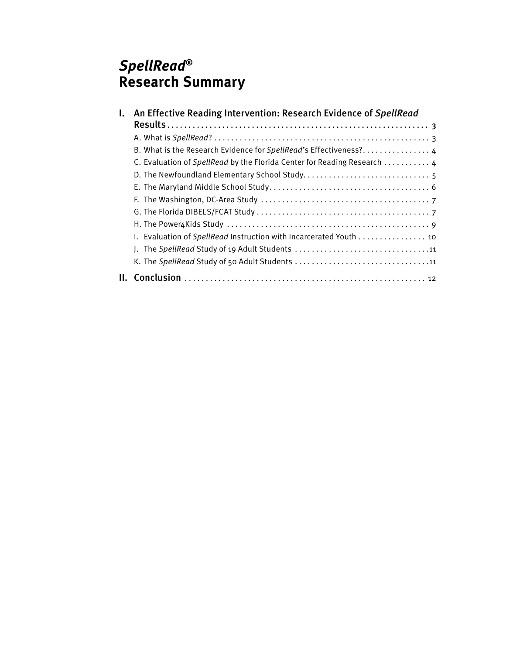### *SpellRead®* **Research Summary**

| L. | An Effective Reading Intervention: Research Evidence of SpellRead        |
|----|--------------------------------------------------------------------------|
|    |                                                                          |
|    | B. What is the Research Evidence for SpellRead's Effectiveness? 4        |
|    | C. Evaluation of SpellRead by the Florida Center for Reading Research  4 |
|    |                                                                          |
|    |                                                                          |
|    |                                                                          |
|    |                                                                          |
|    |                                                                          |
|    | I. Evaluation of SpellRead Instruction with Incarcerated Youth  10       |
|    | J. The SpellRead Study of 19 Adult Students 11                           |
|    | K. The SpellRead Study of 50 Adult Students 11                           |
| Ш. |                                                                          |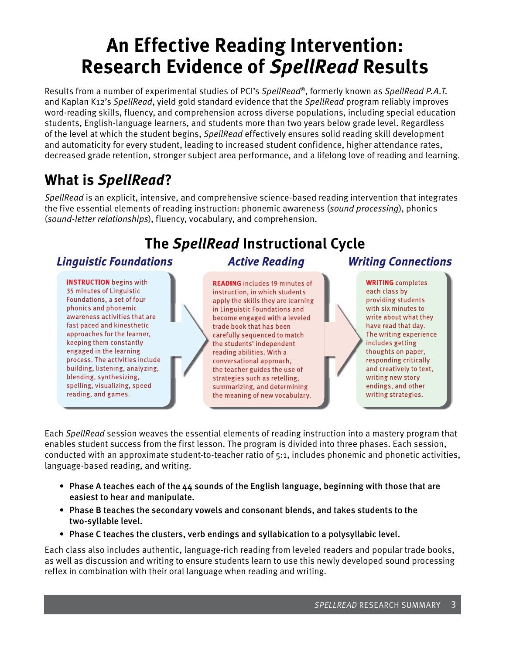# **An Effective Reading Intervention: Research Evidence of** *SpellRead* **Results**

Results from a number of experimental studies of PCI's *SpellRead*®, formerly known as *SpellRead P.A.T.*  and Kaplan K12's *SpellRead*, yield gold standard evidence that the *SpellRead* program reliably improves word-reading skills, fluency, and comprehension across diverse populations, including special education students, English-language learners, and students more than two years below grade level. Regardless of the level at which the student begins, *SpellRead* effectively ensures solid reading skill development and automaticity for every student, leading to increased student confidence, higher attendance rates, decreased grade retention, stronger subject area performance, and a lifelong love of reading and learning.

### **What is** *SpellRead***?**

*SpellRead* is an explicit, intensive, and comprehensive science-based reading intervention that integrates the five essential elements of reading instruction: phonemic awareness (*sound processing*), phonics (*sound-letter relationships*), fluency, vocabulary, and comprehension.

# **The** *SpellRead* **Instructional Cycle**

### **Linguistic Foundations**

**INSTRUCTION** begins with 35 minutes of Linguistic Foundations, a set of four phonics and phonemic awareness activities that are fast paced and kinesthetic approaches for the learner, keeping them constantly engaged in the learning process. The activities include building, listening, analyzing, blending, synthesizing, spelling, visualizing, speed reading, and games.

### **Active Reading**

**READING** includes 19 minutes of instruction, in which students apply the skills they are learning in Linguistic Foundations and become engaged with a leveled trade book that has been carefully sequenced to match the students' independent reading abilities. With a conversational approach, the teacher guides the use of strategies such as retelling, summarizing, and determining the meaning of new vocabulary.

### **Writing Connections**

**WRITING** completes each class by providing students with six minutes to write about what they have read that day. The writing experience includes getting thoughts on paper, responding critically and creatively to text, writing new story endings, and other writing strategies.

Each *SpellRead* session weaves the essential elements of reading instruction into a mastery program that enables student success from the first lesson. The program is divided into three phases. Each session, conducted with an approximate student-to-teacher ratio of 5:1, includes phonemic and phonetic activities, language-based reading, and writing.

- Phase A teaches each of the 44 sounds of the English language, beginning with those that are easiest to hear and manipulate.
- Phase B teaches the secondary vowels and consonant blends, and takes students to the two-syllable level.
- Phase C teaches the clusters, verb endings and syllabication to a polysyllabic level.

Each class also includes authentic, language-rich reading from leveled readers and popular trade books, as well as discussion and writing to ensure students learn to use this newly developed sound processing reflex in combination with their oral language when reading and writing.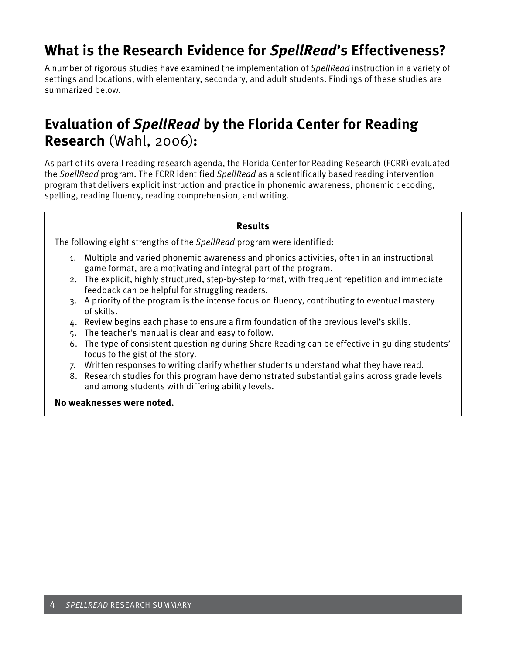### **What is the Research Evidence for** *SpellRead***'s Effectiveness?**

A number of rigorous studies have examined the implementation of *SpellRead* instruction in a variety of settings and locations, with elementary, secondary, and adult students. Findings of these studies are summarized below.

### **Evaluation of** *SpellRead* **by the Florida Center for Reading Research** (Wahl, 2006)**:**

As part of its overall reading research agenda, the Florida Center for Reading Research (FCRR) evaluated the *SpellRead* program. The FCRR identified *SpellRead* as a scientifically based reading intervention program that delivers explicit instruction and practice in phonemic awareness, phonemic decoding, spelling, reading fluency, reading comprehension, and writing.

#### **Results**

The following eight strengths of the *SpellRead* program were identified:

- 1. Multiple and varied phonemic awareness and phonics activities, often in an instructional game format, are a motivating and integral part of the program.
- 2. The explicit, highly structured, step-by-step format, with frequent repetition and immediate feedback can be helpful for struggling readers.
- 3. A priority of the program is the intense focus on fluency, contributing to eventual mastery of skills.
- 4. Review begins each phase to ensure a firm foundation of the previous level's skills.
- 5. The teacher's manual is clear and easy to follow.
- 6. The type of consistent questioning during Share Reading can be effective in guiding students' focus to the gist of the story.
- 7. Written responses to writing clarify whether students understand what they have read.
- 8. Research studies for this program have demonstrated substantial gains across grade levels and among students with differing ability levels.

**No weaknesses were noted.**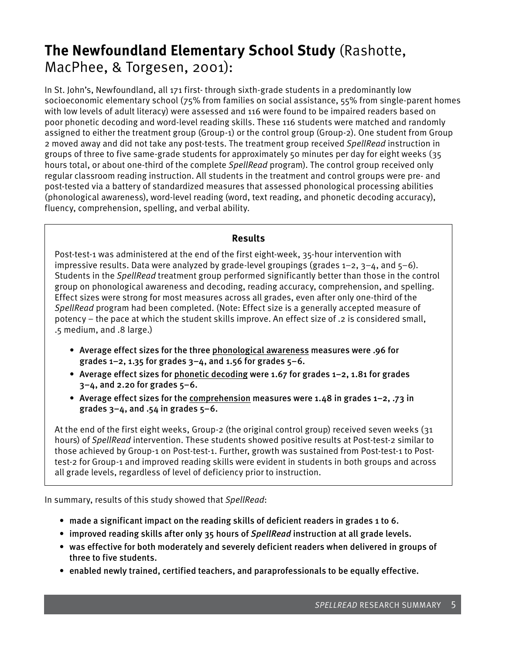### **The Newfoundland Elementary School Study** (Rashotte, MacPhee, & Torgesen, 2001):

In St. John's, Newfoundland, all 171 first- through sixth-grade students in a predominantly low socioeconomic elementary school (75% from families on social assistance, 55% from single-parent homes with low levels of adult literacy) were assessed and 116 were found to be impaired readers based on poor phonetic decoding and word-level reading skills. These 116 students were matched and randomly assigned to either the treatment group (Group-1) or the control group (Group-2). One student from Group 2 moved away and did not take any post-tests. The treatment group received *SpellRead* instruction in groups of three to five same-grade students for approximately 50 minutes per day for eight weeks (35 hours total, or about one-third of the complete *SpellRead* program). The control group received only regular classroom reading instruction. All students in the treatment and control groups were pre- and post-tested via a battery of standardized measures that assessed phonological processing abilities (phonological awareness), word-level reading (word, text reading, and phonetic decoding accuracy), fluency, comprehension, spelling, and verbal ability.

#### **Results**

Post-test-1 was administered at the end of the first eight-week, 35-hour intervention with impressive results. Data were analyzed by grade-level groupings (grades  $1-2$ ,  $3-4$ , and  $5-6$ ). Students in the *SpellRead* treatment group performed significantly better than those in the control group on phonological awareness and decoding, reading accuracy, comprehension, and spelling. Effect sizes were strong for most measures across all grades, even after only one-third of the *SpellRead* program had been completed. (Note: Effect size is a generally accepted measure of potency – the pace at which the student skills improve. An effect size of .2 is considered small, .5 medium, and .8 large.)

- • Average effect sizes for the three phonological awareness measures were .96 for grades  $1-2$ , 1.35 for grades  $3-4$ , and 1.56 for grades  $5-6$ .
- Average effect sizes for phonetic decoding were 1.67 for grades  $1-2$ , 1.81 for grades  $3-4$ , and 2.20 for grades  $5-6$ .
- Average effect sizes for the comprehension measures were 1.48 in grades 1-2, .73 in grades  $3-4$ , and .54 in grades  $5-6$ .

At the end of the first eight weeks, Group-2 (the original control group) received seven weeks (31 hours) of *SpellRead* intervention. These students showed positive results at Post-test-2 similar to those achieved by Group-1 on Post-test-1. Further, growth was sustained from Post-test-1 to Posttest-2 for Group-1 and improved reading skills were evident in students in both groups and across all grade levels, regardless of level of deficiency prior to instruction.

In summary, results of this study showed that *SpellRead*:

- made a significant impact on the reading skills of deficient readers in grades 1 to 6.
- • improved reading skills after only 35 hours of *SpellRead* instruction at all grade levels.
- • was effective for both moderately and severely deficient readers when delivered in groups of three to five students.
- • enabled newly trained, certified teachers, and paraprofessionals to be equally effective.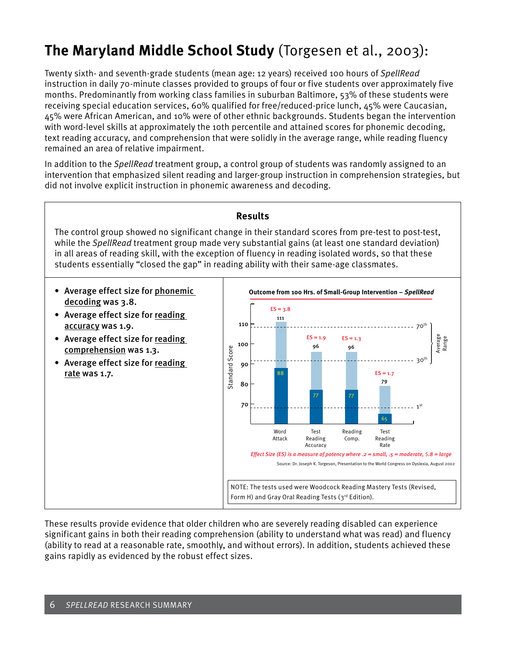# **The Maryland Middle School Study** (Torgesen et al., 2003):

Twenty sixth- and seventh-grade students (mean age: 12 years) received 100 hours of *SpellRead* instruction in daily 70-minute classes provided to groups of four or five students over approximately five months. Predominantly from working class families in suburban Baltimore, 53% of these students were receiving special education services, 60% qualified for free/reduced-price lunch, 45% were Caucasian, 45% were African American, and 10% were of other ethnic backgrounds. Students began the intervention with word-level skills at approximately the 10th percentile and attained scores for phonemic decoding, text reading accuracy, and comprehension that were solidly in the average range, while reading fluency remained an area of relative impairment.

In addition to the *SpellRead* treatment group, a control group of students was randomly assigned to an intervention that emphasized silent reading and larger-group instruction in comprehension strategies, but did not involve explicit instruction in phonemic awareness and decoding.

#### **Results**

The control group showed no significant change in their standard scores from pre-test to post-test, while the *SpellRead* treatment group made very substantial gains (at least one standard deviation) in all areas of reading skill, with the exception of fluency in reading isolated words, so that these students essentially "closed the gap" in reading ability with their same-age classmates.

- Average effect size for phonemic decoding was 3.8.
- Average effect size for reading accuracy was 1.9.
- Average effect size for reading comprehension was 1.3.
- Average effect size for reading rate was 1.7.



These results provide evidence that older children who are severely reading disabled can experience significant gains in both their reading comprehension (ability to understand what was read) and fluency (ability to read at a reasonable rate, smoothly, and without errors). In addition, students achieved these gains rapidly as evidenced by the robust effect sizes.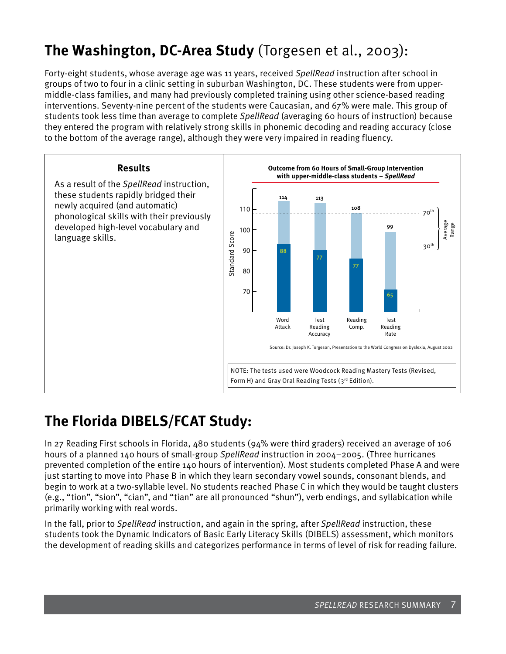# **The Washington, DC-Area Study** (Torgesen et al., 2003):

Forty-eight students, whose average age was 11 years, received *SpellRead* instruction after school in groups of two to four in a clinic setting in suburban Washington, DC. These students were from uppermiddle-class families, and many had previously completed training using other science-based reading interventions. Seventy-nine percent of the students were Caucasian, and 67% were male. This group of students took less time than average to complete *SpellRead* (averaging 60 hours of instruction) because they entered the program with relatively strong skills in phonemic decoding and reading accuracy (close to the bottom of the average range), although they were very impaired in reading fluency.



## **The Florida DIBELS/FCAT Study:**

In 27 Reading First schools in Florida, 480 students (94% were third graders) received an average of 106 hours of a planned 140 hours of small-group *SpellRead* instruction in 2004–2005. (Three hurricanes prevented completion of the entire 140 hours of intervention). Most students completed Phase A and were just starting to move into Phase B in which they learn secondary vowel sounds, consonant blends, and begin to work at a two-syllable level. No students reached Phase C in which they would be taught clusters (e.g., "tion", "sion", "cian", and "tian" are all pronounced "shun"), verb endings, and syllabication while primarily working with real words.

In the fall, prior to *SpellRead* instruction, and again in the spring, after *SpellRead* instruction, these students took the Dynamic Indicators of Basic Early Literacy Skills (DIBELS) assessment, which monitors the development of reading skills and categorizes performance in terms of level of risk for reading failure.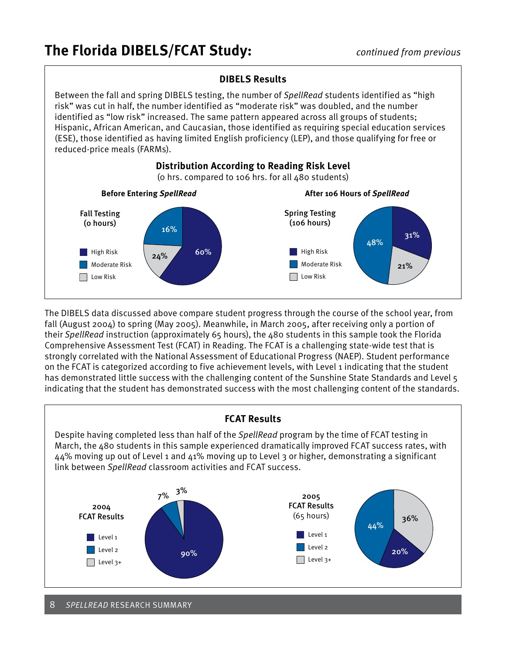

The DIBELS data discussed above compare student progress through the course of the school year, from fall (August 2004) to spring (May 2005). Meanwhile, in March 2005, after receiving only a portion of their *SpellRead* instruction (approximately 65 hours), the 480 students in this sample took the Florida Comprehensive Assessment Test (FCAT) in Reading. The FCAT is a challenging state-wide test that is strongly correlated with the National Assessment of Educational Progress (NAEP). Student performance on the FCAT is categorized according to five achievement levels, with Level 1 indicating that the student has demonstrated little success with the challenging content of the Sunshine State Standards and Level 5 indicating that the student has demonstrated success with the most challenging content of the standards.



8 *SpellRead* Research SUmmary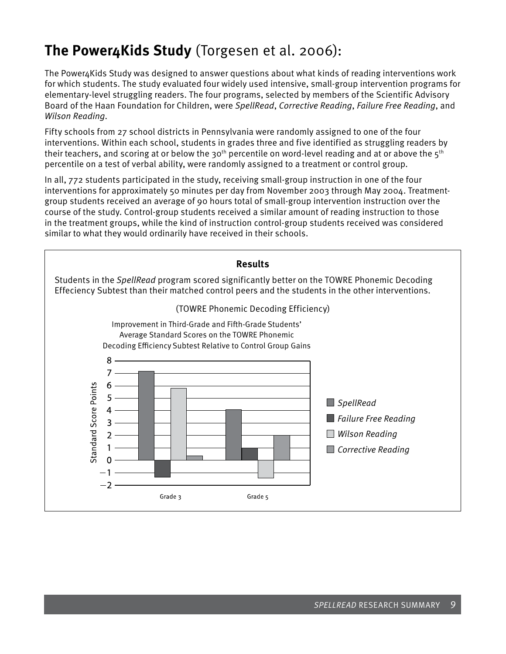## **The Power4Kids Study** (Torgesen et al. 2006):

The Power4Kids Study was designed to answer questions about what kinds of reading interventions work for which students. The study evaluated four widely used intensive, small-group intervention programs for elementary-level struggling readers. The four programs, selected by members of the Scientific Advisory Board of the Haan Foundation for Children, were *SpellRead*, *Corrective Reading*, *Failure Free Reading*, and *Wilson Reading*.

Fifty schools from 27 school districts in Pennsylvania were randomly assigned to one of the four interventions. Within each school, students in grades three and five identified as struggling readers by their teachers, and scoring at or below the 30<sup>th</sup> percentile on word-level reading and at or above the 5<sup>th</sup> percentile on a test of verbal ability, were randomly assigned to a treatment or control group.

In all, 772 students participated in the study, receiving small-group instruction in one of the four interventions for approximately 50 minutes per day from November 2003 through May 2004. Treatmentgroup students received an average of 90 hours total of small-group intervention instruction over the course of the study. Control-group students received a similar amount of reading instruction to those in the treatment groups, while the kind of instruction control-group students received was considered similar to what they would ordinarily have received in their schools.

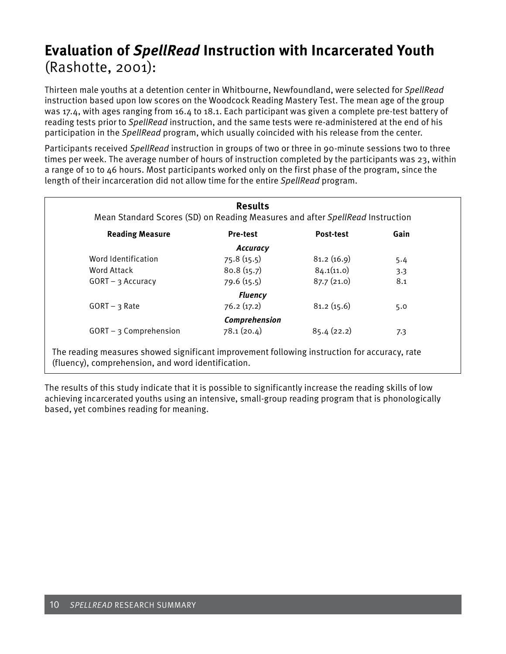### **Evaluation of** *SpellRead* **Instruction with Incarcerated Youth** (Rashotte, 2001):

Thirteen male youths at a detention center in Whitbourne, Newfoundland, were selected for *SpellRead* instruction based upon low scores on the Woodcock Reading Mastery Test. The mean age of the group was 17.4, with ages ranging from 16.4 to 18.1. Each participant was given a complete pre-test battery of reading tests prior to *SpellRead* instruction, and the same tests were re-administered at the end of his participation in the *SpellRead* program, which usually coincided with his release from the center.

Participants received *SpellRead* instruction in groups of two or three in 90-minute sessions two to three times per week. The average number of hours of instruction completed by the participants was 23, within a range of 10 to 46 hours. Most participants worked only on the first phase of the program, since the length of their incarceration did not allow time for the entire *SpellRead* program.

| Mean Standard Scores (SD) on Reading Measures and after SpellRead Instruction |                 |            |      |  |  |
|-------------------------------------------------------------------------------|-----------------|------------|------|--|--|
| <b>Reading Measure</b>                                                        | <b>Pre-test</b> | Post-test  | Gain |  |  |
|                                                                               | <b>Accuracy</b> |            |      |  |  |
| Word Identification                                                           | 75.8(15.5)      | 81.2(16.9) | 5.4  |  |  |
| <b>Word Attack</b>                                                            | 80.8(15.7)      | 84.1(11.0) | 3.3  |  |  |
| $GORT - 3$ Accuracy                                                           | 79.6(15.5)      | 87.7(21.0) | 8.1  |  |  |
|                                                                               | <b>Fluency</b>  |            |      |  |  |
| $GORT - 3 Rate$                                                               | 76.2(17.2)      | 81.2(15.6) | 5.0  |  |  |
|                                                                               | Comprehension   |            |      |  |  |
| $GORT - 3$ Comprehension                                                      | 78.1(20.4)      | 85.4(22.2) | 7.3  |  |  |

The results of this study indicate that it is possible to significantly increase the reading skills of low achieving incarcerated youths using an intensive, small-group reading program that is phonologically based, yet combines reading for meaning.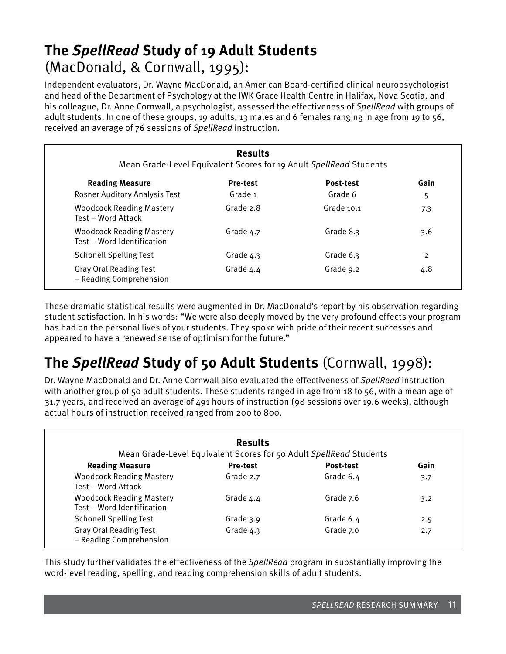### **The** *SpellRead* **Study of 19 Adult Students**  (MacDonald, & Cornwall, 1995):

Independent evaluators, Dr. Wayne MacDonald, an American Board-certified clinical neuropsychologist and head of the Department of Psychology at the IWK Grace Health Centre in Halifax, Nova Scotia, and his colleague, Dr. Anne Cornwall, a psychologist, assessed the effectiveness of *SpellRead* with groups of adult students. In one of these groups, 19 adults, 13 males and 6 females ranging in age from 19 to 56, received an average of 76 sessions of *SpellRead* instruction.

| <b>Results</b><br>Mean Grade-Level Equivalent Scores for 19 Adult SpellRead Students |                 |                  |                |  |  |
|--------------------------------------------------------------------------------------|-----------------|------------------|----------------|--|--|
| <b>Reading Measure</b>                                                               | <b>Pre-test</b> | <b>Post-test</b> | Gain           |  |  |
| <b>Rosner Auditory Analysis Test</b>                                                 | Grade 1         | Grade 6          | 5              |  |  |
| <b>Woodcock Reading Mastery</b><br>Test - Word Attack                                | Grade 2.8       | Grade 10.1       | 7.3            |  |  |
| <b>Woodcock Reading Mastery</b><br>Test - Word Identification                        | Grade $4.7$     | Grade 8.3        | 3.6            |  |  |
| <b>Schonell Spelling Test</b>                                                        | Grade $4.3$     | Grade 6.3        | $\overline{2}$ |  |  |
| <b>Gray Oral Reading Test</b><br>- Reading Comprehension                             | Grade 4.4       | Grade 9.2        | 4.8            |  |  |

These dramatic statistical results were augmented in Dr. MacDonald's report by his observation regarding student satisfaction. In his words: "We were also deeply moved by the very profound effects your program has had on the personal lives of your students. They spoke with pride of their recent successes and appeared to have a renewed sense of optimism for the future."

# **The** *SpellRead* **Study of 50 Adult Students** (Cornwall, 1998):

Dr. Wayne MacDonald and Dr. Anne Cornwall also evaluated the effectiveness of *SpellRead* instruction with another group of 50 adult students. These students ranged in age from 18 to 56, with a mean age of 31.7 years, and received an average of 491 hours of instruction (98 sessions over 19.6 weeks), although actual hours of instruction received ranged from 200 to 800.

|                                                               | <b>Results</b>  | Mean Grade-Level Equivalent Scores for 50 Adult SpellRead Students |      |
|---------------------------------------------------------------|-----------------|--------------------------------------------------------------------|------|
| <b>Reading Measure</b>                                        | <b>Pre-test</b> | Post-test                                                          | Gain |
| <b>Woodcock Reading Mastery</b><br>Test - Word Attack         | Grade 2.7       | Grade 6.4                                                          | 3.7  |
| <b>Woodcock Reading Mastery</b><br>Test - Word Identification | Grade 4.4       | Grade 7.6                                                          | 3.2  |
| <b>Schonell Spelling Test</b>                                 | Grade 3.9       | Grade 6.4                                                          | 2.5  |
| <b>Gray Oral Reading Test</b><br>- Reading Comprehension      | Grade $4.3$     | Grade 7.0                                                          | 2.7  |

This study further validates the effectiveness of the *SpellRead* program in substantially improving the word-level reading, spelling, and reading comprehension skills of adult students.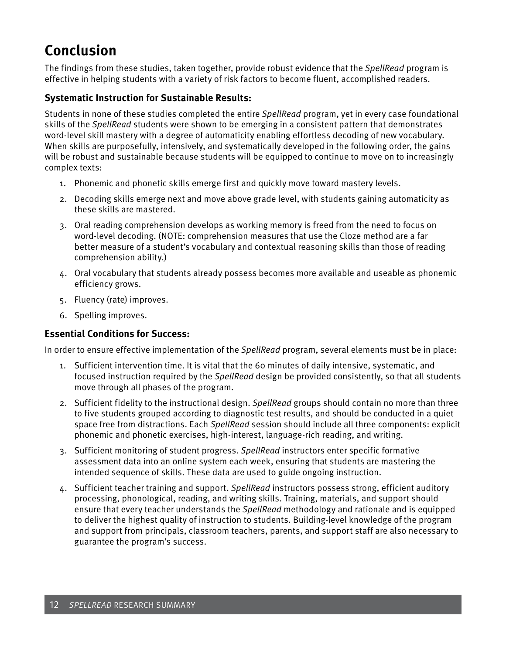## **Conclusion**

The findings from these studies, taken together, provide robust evidence that the *SpellRead* program is effective in helping students with a variety of risk factors to become fluent, accomplished readers.

### **Systematic Instruction for Sustainable Results:**

Students in none of these studies completed the entire *SpellRead* program, yet in every case foundational skills of the *SpellRead* students were shown to be emerging in a consistent pattern that demonstrates word-level skill mastery with a degree of automaticity enabling effortless decoding of new vocabulary. When skills are purposefully, intensively, and systematically developed in the following order, the gains will be robust and sustainable because students will be equipped to continue to move on to increasingly complex texts:

- 1. Phonemic and phonetic skills emerge first and quickly move toward mastery levels.
- 2. Decoding skills emerge next and move above grade level, with students gaining automaticity as these skills are mastered.
- 3. Oral reading comprehension develops as working memory is freed from the need to focus on word-level decoding. (NOTE: comprehension measures that use the Cloze method are a far better measure of a student's vocabulary and contextual reasoning skills than those of reading comprehension ability.)
- 4. Oral vocabulary that students already possess becomes more available and useable as phonemic efficiency grows.
- 5. Fluency (rate) improves.
- 6. Spelling improves.

### **Essential Conditions for Success:**

In order to ensure effective implementation of the *SpellRead* program, several elements must be in place:

- 1. Sufficient intervention time. It is vital that the 60 minutes of daily intensive, systematic, and focused instruction required by the *SpellRead* design be provided consistently, so that all students move through all phases of the program.
- 2. Sufficient fidelity to the instructional design. *SpellRead* groups should contain no more than three to five students grouped according to diagnostic test results, and should be conducted in a quiet space free from distractions. Each *SpellRead* session should include all three components: explicit phonemic and phonetic exercises, high-interest, language-rich reading, and writing.
- 3. Sufficient monitoring of student progress. *SpellRead* instructors enter specific formative assessment data into an online system each week, ensuring that students are mastering the intended sequence of skills. These data are used to guide ongoing instruction.
- 4. Sufficient teacher training and support. *SpellRead* instructors possess strong, efficient auditory processing, phonological, reading, and writing skills. Training, materials, and support should ensure that every teacher understands the *SpellRead* methodology and rationale and is equipped to deliver the highest quality of instruction to students. Building-level knowledge of the program and support from principals, classroom teachers, parents, and support staff are also necessary to guarantee the program's success.